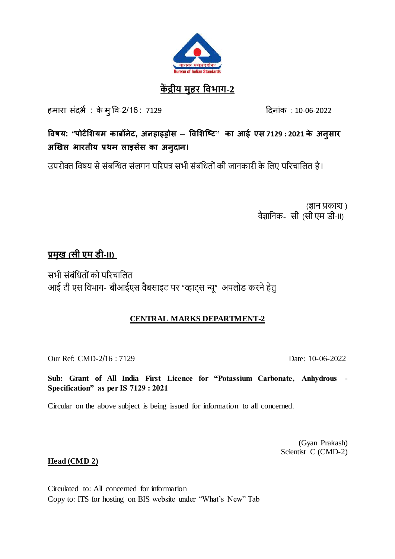

# **कें द्रीय मुहर विभाग-2**

हमारा संदर्भ : केमुवि-2/16 : 7129 ददनांक : 10-06-2022

**विषय: "पोटैशियम कार्बोनेट, अनहाइड्रोस — विशिष्टट" का आई एस 7129 : 2021 के अनुसार अखिल भारतीय प्रथम लाइसेंस का अनुदान।** 

उपरोक्त विषय से संबन्धित संलगन पररपत्र सभी संबंवितों की जानकारी के वलए पररचावलत है।

(ज्ञान प्रकाश ) िैज्ञावनक- सी (सी एम डी-II)

## **प्रमुख (सी एम डी-II)**

सभी संबंवितों को पररचावलत आई टी एस विभाग- बीआईएस वैबसाइट पर "व्हाट्स न्यू" अपलोड करने हेतु

## **CENTRAL MARKS DEPARTMENT-2**

Our Ref: CMD-2/16 : 7129 Date: 10-06-2022

**Sub: Grant of All India First Licence for "Potassium Carbonate, Anhydrous - Specification" as per IS 7129 : 2021**

Circular on the above subject is being issued for information to all concerned.

(Gyan Prakash) Scientist C (CMD-2)

**Head (CMD 2)**

Circulated to: All concerned for information Copy to: ITS for hosting on BIS website under "What's New" Tab